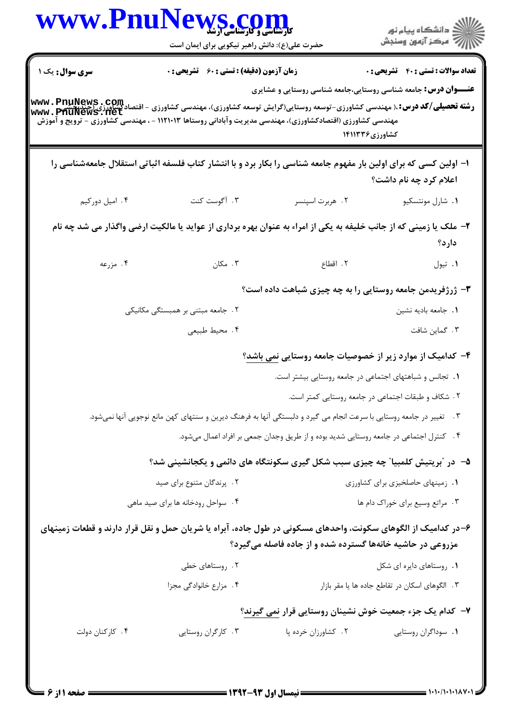| www.PnuNews.c   | <b>کارشناسی و کارشناسی آرشا</b><br>حضرت علی(ع): دانش راهبر نیکویی برای ایمان است                                                                                                                                                                             |                                                                                        | ِ دانشڪاه پيا <sub>م</sub> نور<br>/∕ مرڪز آزمون وسنڊش                                   |
|-----------------|--------------------------------------------------------------------------------------------------------------------------------------------------------------------------------------------------------------------------------------------------------------|----------------------------------------------------------------------------------------|-----------------------------------------------------------------------------------------|
| سری سوال: یک ۱  | <b>زمان آزمون (دقیقه) : تستی : 60 ٪ تشریحی : 0</b>                                                                                                                                                                                                           |                                                                                        | <b>تعداد سوالات : تستي : 40 قشريحي : 0</b>                                              |
|                 | <b>رشته تحصیلی/کد درس: ۸۰ م</b> هندسی کشاورزی-توسعه روستایی(گرایش توسعه کشاورزی)، مهندسی کشاورزی - اقتصادگشاورزی (چندیچش<br>WWW . PhuNews . Net<br>مهندسی کشاورزی (اقتصادکشاورزی)، مهندسی مدیریت وآبادانی روستاها ۱۱۲۱۰۱۳ - ، مهندسی کشاورزی - ترویج و آموزش |                                                                                        | <b>عنـــوان درس:</b> جامعه شناسی روستایی،جامعه شناسی روستایی و عشایری<br>کشاورزی۱۴۱۱۳۳۶ |
|                 | ا– اولین کسی که برای اولین بار مفهوم جامعه شناسی را بکار برد و با انتشار کتاب فلسفه اثباتی استقلال جامعهشناسی را                                                                                                                                             |                                                                                        | اعلام کرد چه نام داشت؟                                                                  |
| ۰۴ امیل دورکیم  | ۰۳ آگوست کنت                                                                                                                                                                                                                                                 | ۰۲ هربرت اسپنسر                                                                        | ٠١ شارل مونتسكيو                                                                        |
|                 | ۲- ملک یا زمینی که از جانب خلیفه به یکی از امراء به عنوان بهره برداری از عواید یا مالکیت ارضی واگذار می شد چه نام                                                                                                                                            |                                                                                        | دارد؟                                                                                   |
| ۴. مزرعه        | ۰۳ مکان                                                                                                                                                                                                                                                      | ٢. اقطاع                                                                               | ٠١ تيول                                                                                 |
|                 |                                                                                                                                                                                                                                                              |                                                                                        | ۳- ژرژفریدمن جامعه روستایی را به چه چیزی شباهت داده است؟                                |
|                 | ۲. جامعه مبتنی بر همبستگی مکانیکی                                                                                                                                                                                                                            |                                                                                        | ٠١. جامعه باديه نشين                                                                    |
|                 | ۰۴ محيط طبيعي                                                                                                                                                                                                                                                |                                                                                        | ۰۳ گماین شافت                                                                           |
|                 |                                                                                                                                                                                                                                                              |                                                                                        | ۴– کدامیک از موارد زیر از خصوصیات جامعه روستایی <u>نمی</u> باشد؟                        |
|                 |                                                                                                                                                                                                                                                              | ٠. تجانس و شباهتهای اجتماعی در جامعه روستایی بیشتر است.                                |                                                                                         |
|                 |                                                                                                                                                                                                                                                              |                                                                                        | ۲ . شکاف و طبقات اجتماعی در جامعه روستایی کمتر است.                                     |
|                 | ۳.    تغییر در جامعه روستایی با سرعت انجام می گیرد و دلبستگی آنها به فرهنگ دیرین و سنتهای کهن مانع نوجویی آنها نمیشود.                                                                                                                                       |                                                                                        |                                                                                         |
|                 |                                                                                                                                                                                                                                                              | ۰۴ کنترل اجتماعی در جامعه روستایی شدید بوده و از طریق وجدان جمعی بر افراد اعمال میشود. |                                                                                         |
|                 | ۵−٪ در "بریتیش کلمبیا" چه چیزی سبب شکل گیری سکونتگاه های دائمی و یکجانشینی شد؟                                                                                                                                                                               |                                                                                        |                                                                                         |
|                 | ٢. پرندگان متنوع برای صید                                                                                                                                                                                                                                    |                                                                                        | ٠١. زمينهاى حاصلخيزى براى كشاورزى                                                       |
|                 | ۰۴ سواحل رودخانه ها برای صید ماهی                                                                                                                                                                                                                            |                                                                                        | ۰۳ مراتع وسیع برای خوراک دام ها                                                         |
|                 | ۶–در کدامیک از الگوهای سکونت، واحدهای مسکونی در طول جاده، آبراه یا شریان حمل و نقل قرار دارند و قطعات زمینهای                                                                                                                                                | مزروعی در حاشیه خانهها گسترده شده و از جاده فاصله میگیرد؟                              |                                                                                         |
|                 | ۰۲ روستاهای خطی                                                                                                                                                                                                                                              |                                                                                        | ٠١. روستاهاي دايره اي شكل                                                               |
|                 | ۰۴ مزارع خانوادگی مجزا                                                                                                                                                                                                                                       |                                                                                        | ۰۳ الگوهای اسکان در تقاطع جاده ها یا مقر بازار                                          |
|                 |                                                                                                                                                                                                                                                              |                                                                                        | ۷– کدام یک جزء جمعیت خوش نشینان روستایی قرار نمی گیرند؟                                 |
| ۰۴ کارکنان دولت | ۰۳ کارگران روستایی                                                                                                                                                                                                                                           | ۰۲ کشاورزان خرده پا                                                                    | ٠١ سوداگران روستايي                                                                     |
|                 |                                                                                                                                                                                                                                                              |                                                                                        |                                                                                         |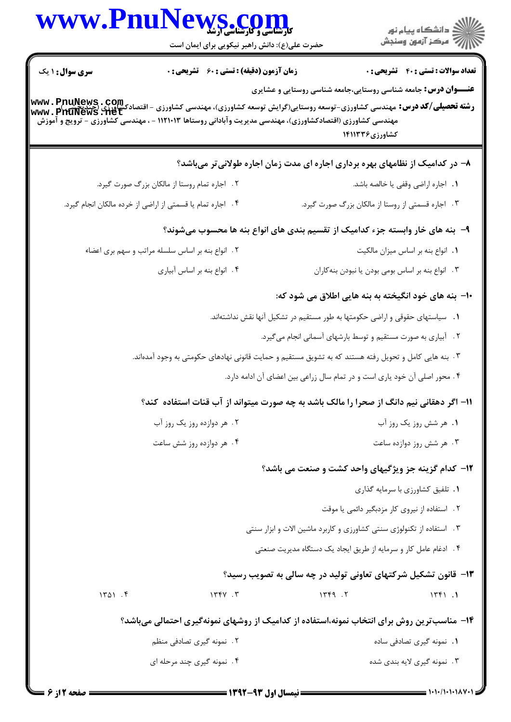|                        | www.PnuNews.com<br><b>کارشناسی و کارشناسی آرشدّ</b><br>حضرت علی(ع): دانش راهبر نیکویی برای ایمان است                                                            | الاد دانشگاه پيام نور<br>الا مرکز آزمون وسنجش                                                                                                                                                                                                                                           |  |
|------------------------|-----------------------------------------------------------------------------------------------------------------------------------------------------------------|-----------------------------------------------------------------------------------------------------------------------------------------------------------------------------------------------------------------------------------------------------------------------------------------|--|
| <b>سری سوال : ۱ یک</b> | <b>زمان آزمون (دقیقه) : تستی : 60 ٪ تشریحی : 0</b><br>مهندسی کشاورزی (اقتصادکشاورزی)، مهندسی مدیریت وآبادانی روستاها ۱۱۲۱۰۱۳ - ، مهندسی کشاورزی - ترویج و آموزش | <b>تعداد سوالات : تستی : 40 قشریحی : 0</b><br><b>عنـــوان درس:</b> جامعه شناسی روستایی،جامعه شناسی روستایی و عشایری<br><b>رشته تحصیلی/کد درس:</b> مهندسی کشاورزی-توسعه روستایی(گرایش توسعه کشاورزی)، مهندسی کشاورزی - اقتصادکشاورزی (چندیچیتی<br>www . PriuNews . net<br>کشاورزی۱۴۱۱۳۳۶ |  |
|                        |                                                                                                                                                                 | ۸– در کدامیک از نظامهای بهره برداری اجاره ای مدت زمان اجاره طولانی تر میباشد؟                                                                                                                                                                                                           |  |
|                        | ۲ . اجاره تمام روستا از مالکان بزرگ صورت گیرد.                                                                                                                  | ٠١. اجاره اراضي وقفي يا خالصه باشد.                                                                                                                                                                                                                                                     |  |
|                        | ۰۴ اجاره تمام یا قسمتی از اراضی از خرده مالکان انجام گیرد.                                                                                                      | ۰۳ اجاره قسمتی از روستا از مالکان بزرگ صورت گیرد.                                                                                                                                                                                                                                       |  |
|                        |                                                                                                                                                                 | ۹– بنه های خار وابسته جزء کدامیک از تقسیم بندی های انواع بنه ها محسوب میشوند؟                                                                                                                                                                                                           |  |
|                        | ٢. انواع بنه بر اساس سلسله مراتب و سهم برى اعضاء                                                                                                                | ٠١. انواع بنه بر اساس ميزان مالكيت                                                                                                                                                                                                                                                      |  |
|                        | ۰۴ انواع بنه بر اساس آبياري                                                                                                                                     | ۰۳ انواع بنه بر اساس بومی بودن یا نبودن بنه کاران                                                                                                                                                                                                                                       |  |
|                        |                                                                                                                                                                 | ∙ا− بنه های خود انگیخته به بنه هایی اطلاق می شود که:                                                                                                                                                                                                                                    |  |
|                        |                                                                                                                                                                 | 1. سیاستهای حقوقی و اراضی حکومتها به طور مستقیم در تشکیل آنها نقش نداشتهاند.                                                                                                                                                                                                            |  |
|                        |                                                                                                                                                                 | ۰۲ آبیاری به صورت مستقیم و توسط بارشهای آسمانی انجام میگیرد.                                                                                                                                                                                                                            |  |
|                        |                                                                                                                                                                 | ۳ . بنه هایی کامل و تحویل رفته هستند که به تشویق مستقیم و حمایت قانونی نهادهای حکومتی به وجود آمدهاند.                                                                                                                                                                                  |  |
|                        |                                                                                                                                                                 | ۰۴ محور اصلی آن خود یاری است و در تمام سال زراعی بین اعضای آن ادامه دارد.                                                                                                                                                                                                               |  |
|                        |                                                                                                                                                                 | 1۱– اگر دهقانی نیم دانگ از صحرا را مالک باشد به چه صورت میتواند از آب قنات استفاده کند؟                                                                                                                                                                                                 |  |
|                        | ۲. هر دوازده روز یک روز آب                                                                                                                                      | ۰۱ هر شش روز یک روز آب                                                                                                                                                                                                                                                                  |  |
|                        | ۰۴ هر دوازده روز شش ساعت                                                                                                                                        | ۰۳ هر شش روز دوازده ساعت                                                                                                                                                                                                                                                                |  |
|                        |                                                                                                                                                                 | ۱۲- کدام گزینه جز ویژگیهای واحد کشت و صنعت می باشد؟                                                                                                                                                                                                                                     |  |
|                        |                                                                                                                                                                 | ۰۱ تلفیق کشاورزی با سرمایه گذاری                                                                                                                                                                                                                                                        |  |
|                        |                                                                                                                                                                 | ٢. استفاده از نيروى كار مزدبگير دائمى يا موقت                                                                                                                                                                                                                                           |  |
|                        |                                                                                                                                                                 | ۰۳ استفاده از تکنولوژی سنتی کشاورزی و کاربرد ماشین الات و ابزار سنتی                                                                                                                                                                                                                    |  |
|                        |                                                                                                                                                                 | ۴. ادغام عامل کار و سرمایه از طریق ایجاد یک دستگاه مدیریت صنعتی                                                                                                                                                                                                                         |  |
|                        |                                                                                                                                                                 | ۱۳- قانون تشکیل شرکتهای تعاونی تولید در چه سالی به تصویب رسید؟                                                                                                                                                                                                                          |  |
| 1401.5                 | 1560.5                                                                                                                                                          | 144.7<br>1561.1                                                                                                                                                                                                                                                                         |  |
|                        |                                                                                                                                                                 | ۱۴- مناسبترین روش برای انتخاب نمونه،استفاده از کدامیک از روشهای نمونهگیری احتمالی میباشد؟                                                                                                                                                                                               |  |
|                        | ۲. نمونه گیری تصادفی منظم                                                                                                                                       | 1. نمونه گیری تصادفی ساده                                                                                                                                                                                                                                                               |  |
|                        | ۰۴ نمونه گیری چند مرحله ای                                                                                                                                      | ۰۳ نمونه گیری لایه بندی شده                                                                                                                                                                                                                                                             |  |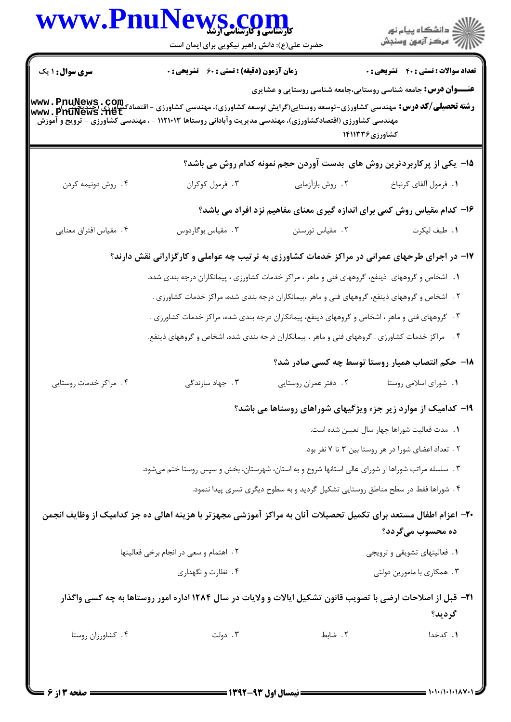|                                                                                                                 | <b>WWW.PnuN</b><br><b>VS .COM</b><br>حضرت علی(ع): دانش راهبر نیکویی برای ایمان است                           |                                                                                                | ر دانشگاه پيام نور<br>دانشگاه پيام نور (             |
|-----------------------------------------------------------------------------------------------------------------|--------------------------------------------------------------------------------------------------------------|------------------------------------------------------------------------------------------------|------------------------------------------------------|
| <b>سری سوال : ۱ یک</b>                                                                                          | <b>زمان آزمون (دقیقه) : تستی : 60 ٪ تشریحی : 0</b>                                                           |                                                                                                | <b>تعداد سوالات : تستي : 40 - تشريحي : 0</b>         |
| مهندسی کشاورزی (اقتصادکشاورزی)، مهندسی مدیریت وآبادانی روستاها ۱۱۲۱۰۱۳ - ، مهندسی کشاورزی - ترویج و آموزش       |                                                                                                              | <b>عنـــوان درس:</b> جامعه شناسی روستایی،جامعه شناسی روستایی و عشایری                          | کشاورزی۱۴۱۱۳۳۶                                       |
|                                                                                                                 |                                                                                                              | 1۵- یکی از پرکاربردترین روش های بدست آوردن حجم نمونه کدام روش می باشد؟                         |                                                      |
| ۰۴ روش دونیمه کردن                                                                                              | ۰۳ فرمول کوکران                                                                                              | ۰۲ روش بازآزمایی                                                                               | ٠١. فرمول ألفاي كرنباخ                               |
|                                                                                                                 |                                                                                                              | ۱۶– کدام مقیاس روش کمی برای اندازه گیری معنای مفاهیم نزد افراد می باشد؟                        |                                                      |
| ۰۴ مقیاس افتراق معنایی                                                                                          | ۰۳ مقیاس بوگاردوس                                                                                            | ۰۲ مقیاس تورستن                                                                                | ٠١. طيف ليكرت                                        |
|                                                                                                                 | ۱۷- در اجرای طرحهای عمرانی در مراکز خدمات کشاورزی به ترتیب چه عواملی و کارگزارانی نقش دارند؟                 |                                                                                                |                                                      |
|                                                                                                                 | ۱. اشخاص و گروههای  ذینفع، گروههای فنی و ماهر ، مراکز خدمات کشاورزی ، پیمانکاران درجه بندی شده.              |                                                                                                |                                                      |
|                                                                                                                 |                                                                                                              | ۲ . اشخاص و گروههای ذینفع، گروههای فنی و ماهر ،پیمانکاران درجه بندی شده، مراکز خدمات کشاورزی . |                                                      |
|                                                                                                                 | ۰۳ گروههای فنی و ماهر ، اشخاص و گروههای ذینفع، پیمانکاران درجه بندی شده، مراکز خدمات کشاورزی .               |                                                                                                |                                                      |
|                                                                                                                 | ۴ .    مراکز خدمات کشاورزی . گروههای فنی و ماهر ، پیمانکاران درجه بندی شده، اشخاص و گروههای ذینفع.           |                                                                                                |                                                      |
|                                                                                                                 |                                                                                                              |                                                                                                | ۱۸– حکم انتصاب همیار روستا توسط چه کسی صادر شد؟      |
| ۰۴ مراکز خدمات روستایی                                                                                          | ۰۳ جهاد سازندگی                                                                                              | ۰۲ دفتر عمران روستایی                                                                          | ٠١. شوراي اسلامي روستا                               |
|                                                                                                                 |                                                                                                              | ۱۹- کدامیک از موارد زیر جزء ویژگیهای شوراهای روستاها می باشد؟                                  |                                                      |
|                                                                                                                 |                                                                                                              |                                                                                                | ٠١. مدت فعاليت شوراها چهار سال تعيين شده است.        |
|                                                                                                                 |                                                                                                              |                                                                                                | ۲ . تعداد اعضای شورا در هر روستا بین ۳ تا ۷ نفر بود. |
|                                                                                                                 | ۰۳ سلسله مراتب شوراها از شورای عالی استانها شروع و به استان، شهرستان، بخش و سپس روستا ختم میشود.             |                                                                                                |                                                      |
|                                                                                                                 |                                                                                                              | ۴. شوراها فقط در سطح مناطق روستايي تشكيل گرديد و به سطوح ديگري تسري پيدا ننمود.                |                                                      |
| ۲۰– اعزام اطفال مستعد برای تکمیل تحصیلات آنان به مراکز آموزشی مجهزتر با هزینه اهالی ده جز کدامیک از وظایف انجمن |                                                                                                              |                                                                                                |                                                      |
|                                                                                                                 |                                                                                                              |                                                                                                | ده محسوب میگردد؟                                     |
|                                                                                                                 | ٢. اهتمام و سعى در انجام برخى فعاليتها                                                                       |                                                                                                | ٠١. فعاليتهاى تشويقى وترويجى                         |
|                                                                                                                 | ۰۴ نظارت و نگهداری                                                                                           |                                                                                                | ۰۳ همکاری با مامورین دولتی                           |
|                                                                                                                 | ۲۱– قبل از اصلاحات ارضی با تصویب قانون تشکیل ایالات و ولایات در سال ۱۲۸۴ اداره امور روستاها به چه کسی واگذار |                                                                                                | گرديد؟                                               |
|                                                                                                                 |                                                                                                              |                                                                                                |                                                      |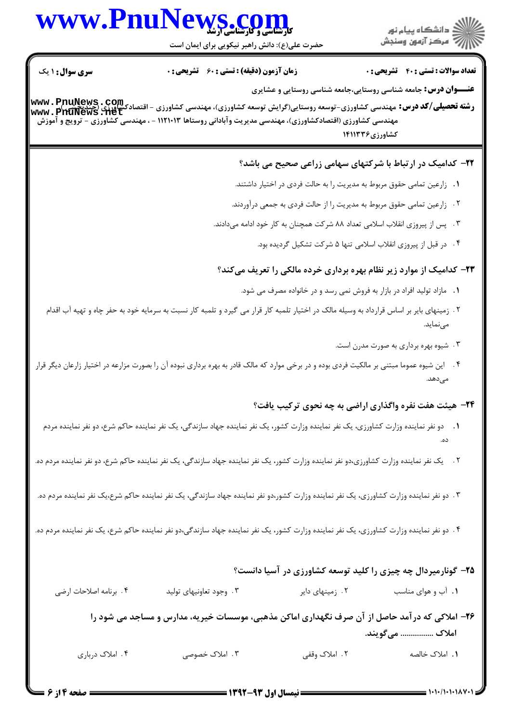# www.PnuNews.co

.<br>گ دانشگاه پیام نور اللاسم مركز آزمون وسنجش

حضرت علی(ع): دانش راهبر نیکویی برای ایمان است

تعداد سوالات : تستي : 40 - تشريحي : 0

**زمان آزمون (دقیقه) : تستی : 60 ٪ تشریحی : 0** 

**سری سوال : ۱ یک** 

**عنـــوان درس:** جامعه شناسی روستایی،جامعه شناسی روستایی و عشایری

**رشته تحصیلی/کد درس:** مهندسی کشاورزی-توسعه روستایی(گرایش توسعه کشاورزی)، مهندسی کشاورزی - اقتصادکشاورزی (چیدبچپسی)<u>.</u><br>استفاق استادی استادی که در میلی کشاورزی-توسعه روستایی(گرایش توسعه کشاورزی)، مهندسی کشاورزی - اقتصادکشاو www.PhuNews.net مهندسی کشاورزی (اقتصادکشاورزی)، مهندسی مدیریت وآبادانی روستاها ۱۱۲۱۰۱۳ - ، مهندسی کشاورزی - ترویج و آموزش كشاورزي ١٤١١٣٣۶

#### ۲۲- کدامیک در ارتباط با شرکتهای سهامی زراعی صحیح می باشد؟

- **۱.** زارعین تمامی حقوق مربوط به مدیریت ۱٫ به حالت فردی در اختیار داشتند.
- ۲ . زارعین تمامی حقوق مربوط به مدیریت را از حالت فردی به جمعی درآوردند.
- ۳. پس از پیروزی انقلاب اسلامی تعداد ۸۸ شرکت همچنان به کار خود ادامه میدادند.
	- ۴ . در قبل از پیروزی انقلاب اسلامی تنها ۵ شرکت تشکیل گردیده بود.

### ۲۳- کدامیک از موارد زیر نظام بهره برداری خرده مالکی را تعریف میکند؟

- 1. مازاد تولید افراد در بازار به فروش نمی رسد و در خانواده مصرف می شود.
- ۲ . زمینهای بایر بر اساس قرارداد به وسیله مالک در اختیار تلمبه کار قرار می گیرد و تلمبه کار نسبت به سرمایه خود به حفر چاه و تهیه آب اقدام مے نماید.
	- ۰۳ شیوه بهره برداری به صورت مدرن است.
- ۴. \_ این شیوه عموما مبتنی بر مالکیت فردی بوده و در برخی موارد که مالک قادر به بهره برداری نبوده آن را بصورت مزارعه در اختیار زارعان دیگر قرار مے ٖدھد.

#### **۲۴**- هیئت هفت نفره واگذاری اراضی به چه نحوی ترکیب یافت؟

- 1. دو نفر نماینده وزارت کشاورزی، یک نفر نماینده وزارت کشور، یک نفر نماینده جهاد سازندگی، یک نفر نماینده حاکم شرع، دو نفر نماینده مردم
- ۲. ٪ یک نفر نماینده وزارت کشاورزی،دو نفر نماینده وزارت کشور، یک نفر نماینده جهاد سازندگی، یک نفر نماینده حاکم شرع، دو نفر نماینده مردم ده.
- ۳. دو نفر نماینده وزارت کشاورزی، یک نفر نماینده وزارت کشور،دو نفر نماینده جهاد سازندگی، یک نفر نماینده حاکم شرع،یک نفر نماینده مردم ده.
- ۴. دو نفر نماینده وزارت کشاورزی، یک نفر نماینده وزارت کشور، یک نفر نماینده جهاد سازندگی،دو نفر نماینده حاکم شرع، یک نفر نماینده مردم ده.

## ۲۵- گونارمیردال چه چیزی را کلید توسعه کشاورزی در آسیا دانست؟

۰۴ برنامه اصلاحات ارضى ۰۳ وجود تعاونیهای تولید ۰۲ زمینهای دایر ۰۱ آب و هوای مناسب

۲۶- املاکی که در آمد حاصل از آن صرف نگهداری اماکن مذهبی، موسسات خیریه، مدارس و مساجد می شود را املاک ................ می گویند.

> ۳. املاک خصوصی ۲. املاک وقفی ۱. املاک خالصه

۴. املاک درباری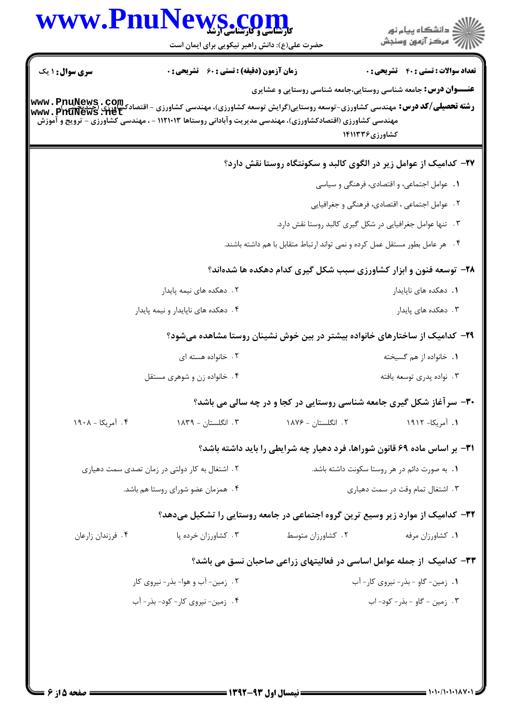|                        | WWW.PnuNews.com<br>حضرت علی(ع): دانش راهبر نیکویی برای ایمان است                                                                                                                                                                                                         |                    | ڪ دانشڪاه پيام نور<br>۾ مرڪز آزمون وسنڊش                                                |
|------------------------|--------------------------------------------------------------------------------------------------------------------------------------------------------------------------------------------------------------------------------------------------------------------------|--------------------|-----------------------------------------------------------------------------------------|
| <b>سری سوال :</b> ۱ یک | <b>زمان آزمون (دقیقه) : تستی : 60 ٪ تشریحی : 0</b>                                                                                                                                                                                                                       |                    | <b>تعداد سوالات : تستی : 40 قشریحی : 0</b>                                              |
|                        | - - - - - -<br><b>رشته تحصیلی/کد درس:</b> مهندسی کشاورزی-توسعه روستایی(گرایش توسعه کشاورزی)، مهندسی کشاورزی - اقتصادکشاورزی (چندنکشی<br>www . PhuNews . Het<br>مهندسی کشاورزی (اقتصادکشاورزی)، مهندسی مدیریت وآبادانی روستاها ۱۱۲۱۰۱۳ - ، مهندسی کشاورزی - ترویج و آموزش |                    | <b>عنـــوان درس:</b> جامعه شناسی روستایی،جامعه شناسی روستایی و عشایری<br>کشاورزی۱۴۱۱۳۳۶ |
|                        |                                                                                                                                                                                                                                                                          |                    | ۲۷- کدامیک از عوامل زیر در الگوی کالبد و سکونتگاه روستا نقش دارد؟                       |
|                        |                                                                                                                                                                                                                                                                          |                    | ٠١. عوامل اجتماعي، و اقتصادي، فرهنگي و سياسي                                            |
|                        |                                                                                                                                                                                                                                                                          |                    | ٢. عوامل اجتماعي ، اقتصادي، فرهنگي و جغرافيايي                                          |
|                        |                                                                                                                                                                                                                                                                          |                    | ۰۳ تنها عوامل جغرافیایی در شکل گیری کالبد روستا نقش دارد.                               |
|                        |                                                                                                                                                                                                                                                                          |                    | ۰۴ هر عامل بطور مستقل عمل كرده و نمى تواند ارتباط متقابل با هم داشته باشند.             |
|                        |                                                                                                                                                                                                                                                                          |                    | ۲۸- توسعه فنون و ابزار کشاورزی سبب شکل گیری کدام دهکده ها شدهاند؟                       |
|                        | ۲. دهکده های نیمه پایدار                                                                                                                                                                                                                                                 |                    | ٠١. دهكده هاى ناپايدار                                                                  |
|                        | ۰۴ دهکده های ناپایدار و نیمه پایدار                                                                                                                                                                                                                                      |                    | ۰۳ دهکده های پایدار                                                                     |
|                        |                                                                                                                                                                                                                                                                          |                    | ۲۹– کدامیک از ساختارهای خانواده بیشتر در بین خوش نشینان روستا مشاهده میشود؟             |
|                        | ۲ . خانواده هسته ای                                                                                                                                                                                                                                                      |                    | ٠١. خانواده از هم گسيخته                                                                |
|                        | ۰۴ خانواده زن و شوهری مستقل                                                                                                                                                                                                                                              |                    | ۰۳ نواده پدري توسعه يافته                                                               |
|                        |                                                                                                                                                                                                                                                                          |                    | ۳۰- سرآغاز شکل گیری جامعه شناسی روستایی در کجا و در چه سالی می باشد؟                    |
| ۰۴ آمریکا - ۱۹۰۸       | ۰۳ انگلستان - ۱۸۳۹                                                                                                                                                                                                                                                       | ۲. انگلستان - ۱۸۷۶ | ۱. آمریکا- ۱۹۱۲                                                                         |
|                        |                                                                                                                                                                                                                                                                          |                    | <b>۳۱</b> - بر اساس ماده ۶۹ قانون شوراها، فرد دهیار چه شرایطی را باید داشته باشد؟       |
|                        | ۲ . اشتغال به کار دولتی در زمان تصدی سمت دهیاری                                                                                                                                                                                                                          |                    | ۰۱ به صورت دائم در هر روستا سکونت داشته باشد.                                           |
|                        | ۰۴ همزمان عضو شورای روستا هم باشد.                                                                                                                                                                                                                                       |                    | ۰۳ اشتغال تمام وقت در سمت دهیاری                                                        |
|                        |                                                                                                                                                                                                                                                                          |                    | ۳۲– کدامیک از موارد زیر وسیع ترین گروه اجتماعی در جامعه روستایی را تشکیل میدهد؟         |
| ۰۴ فرزندان زارعان      | ۰۳ کشاورزان خرده پا                                                                                                                                                                                                                                                      | ۰۲ کشاورزان متوسط  | ٠١ كشاورزان مرفه                                                                        |
|                        |                                                                                                                                                                                                                                                                          |                    | ۳۳– کدامیک از جمله عوامل اساسی در فعالیتهای زراعی صاحبان نسق می باشد؟                   |
|                        | ۲. زمین- آب و هوا- بذر- نیروی کار                                                                                                                                                                                                                                        |                    | ۰۱ زمین- گاو - بذر- نیروی کار- آب                                                       |
|                        | ۴. زمین- نیروی کار- کود- بذر- آب                                                                                                                                                                                                                                         |                    | ۰۳ زمین - گاو - بذر- کود- اب                                                            |
|                        |                                                                                                                                                                                                                                                                          |                    |                                                                                         |
|                        |                                                                                                                                                                                                                                                                          |                    |                                                                                         |